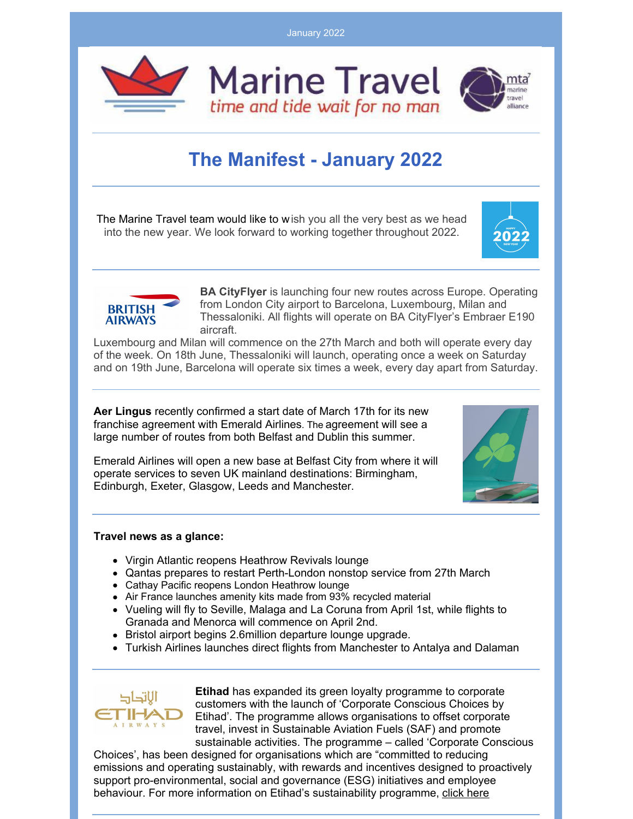January 2022



## **The Manifest - January 2022**

The Marine Travel team would like to wish you all the very best as we head into the new year. We look forward to working together throughout 2022.





**BA CityFlyer** is launching four new routes across Europe. Operating from London City airport to Barcelona, Luxembourg, Milan and Thessaloniki. All flights will operate on BA CityFlyer's Embraer E190 aircraft.

Luxembourg and Milan will commence on the 27th March and both will operate every day of the week. On 18th June, Thessaloniki will launch, operating once a week on Saturday and on 19th June, Barcelona will operate six times a week, every day apart from Saturday.

**Aer [Lingus](https://www.businesstraveller.com/business-travel/2021/12/20/emerald-airlines-to-operate-aer-lingus-regional-flights-from-march-2022/)** recently confirmed a start date of March 17th for its new franchise [agreement](https://www.businesstraveller.com/business-travel/2021/12/20/emerald-airlines-to-operate-aer-lingus-regional-flights-from-march-2022/) with Emerald Airlines. The agreement will see a large number of routes from both Belfast and Dublin this summer.

Emerald Airlines will open a new base at Belfast City from where it will operate services to seven UK mainland destinations: Birmingham, Edinburgh, Exeter, Glasgow, Leeds and Manchester.

## **Travel news as a glance:**

- Virgin Atlantic reopens Heathrow Revivals lounge
- Qantas prepares to restart Perth-London nonstop service from 27th March
- Cathay Pacific reopens London Heathrow lounge
- Air France launches amenity kits made from 93% recycled material
- Vueling will fly to Seville, Malaga and La Coruna from April 1st, while flights to Granada and Menorca will commence on April 2nd.
- Bristol airport begins 2.6million departure lounge upgrade.
- Turkish Airlines launches direct flights from Manchester to Antalya and Dalaman



**Etihad** has expanded its green loyalty programme to corporate customers with the launch of 'Corporate Conscious Choices by Etihad'. The programme allows organisations to offset corporate travel, invest in Sustainable Aviation Fuels (SAF) and promote sustainable activities. The programme – called 'Corporate Conscious

Choices', has been designed for organisations which are "committed to reducing emissions and operating sustainably, with rewards and incentives designed to proactively support pro-environmental, social and governance (ESG) initiatives and employee behaviour. For more information on Etihad's sustainability programme, [click](https://www.etihadaviationgroup.com/en-ae/sustainability) here